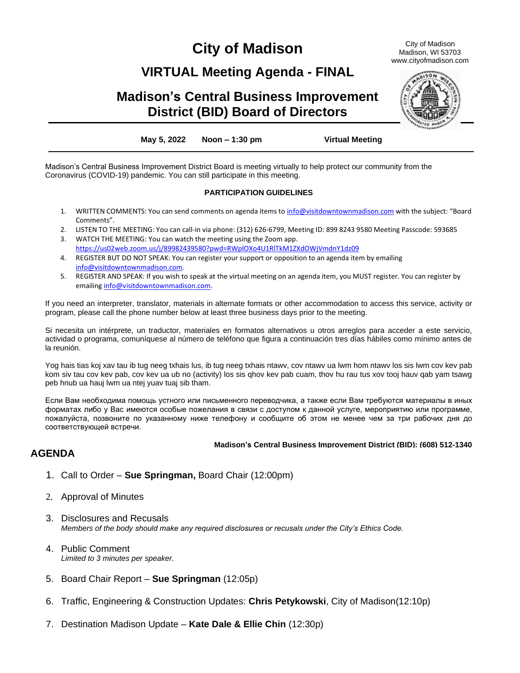# **City of Madison**

## **VIRTUAL Meeting Agenda - FINAL**

## **Madison's Central Business Improvement District (BID) Board of Directors**

**May 5, 2022 Noon – 1:30 pm Virtual Meeting**

Madison's Central Business Improvement District Board is meeting virtually to help protect our community from the Coronavirus (COVID-19) pandemic. You can still participate in this meeting.

#### **PARTICIPATION GUIDELINES**

- 1. WRITTEN COMMENTS: You can send comments on agenda items to [info@visitdowntownmadison.com](mailto:info@visitdowntownmadison.com) with the subject: "Board Comments".
- 2. LISTEN TO THE MEETING: You can call-in via phone: (312) 626-6799, Meeting ID: 899 8243 9580 Meeting Passcode: 593685
- 3. WATCH THE MEETING: You can watch the meeting using the Zoom app. <https://us02web.zoom.us/j/89982439580?pwd=RWplOXo4U1RlTkM1ZXdOWjVmdnY1dz09>
- 4. REGISTER BUT DO NOT SPEAK: You can register your support or opposition to an agenda item by emailing [info@visitdowntownmadison.com.](mailto:info@visitdowntownmadison.com)
- 5. REGISTER AND SPEAK: If you wish to speak at the virtual meeting on an agenda item, you MUST register. You can register by emailin[g info@visitdowntownmadison.com.](mailto:info@visitdowntownmadison.com)

If you need an interpreter, translator, materials in alternate formats or other accommodation to access this service, activity or program, please call the phone number below at least three business days prior to the meeting.

Si necesita un intérprete, un traductor, materiales en formatos alternativos u otros arreglos para acceder a este servicio, actividad o programa, comuníquese al número de teléfono que figura a continuación tres días hábiles como mínimo antes de la reunión.

Yog hais tias koj xav tau ib tug neeg txhais lus, ib tug neeg txhais ntawv, cov ntawv ua lwm hom ntawv los sis lwm cov kev pab kom siv tau cov kev pab, cov kev ua ub no (activity) los sis qhov kev pab cuam, thov hu rau tus xov tooj hauv qab yam tsawg peb hnub ua hauj lwm ua ntej yuav tuaj sib tham.

Если Вам необходима помощь устного или письменного переводчика, а также если Вам требуются материалы в иных форматах либо у Вас имеются особые пожелания в связи с доступом к данной услуге, мероприятию или программе, пожалуйста, позвоните по указанному ниже телефону и сообщите об этом не менее чем за три рабочих дня до соответствующей встречи.

#### **Madison's Central Business Improvement District (BID): (608) 512-1340**

### **AGENDA**

- 1. Call to Order **Sue Springman,** Board Chair (12:00pm)
- 2. Approval of Minutes
- 3. Disclosures and Recusals *Members of the body should make any required disclosures or recusals under the City's Ethics Code.*
- 4. Public Comment *Limited to 3 minutes per speaker.*
- 5. Board Chair Report **Sue Springman** (12:05p)
- 6. Traffic, Engineering & Construction Updates: **Chris Petykowski**, City of Madison(12:10p)
- 7. Destination Madison Update **Kate Dale & Ellie Chin** (12:30p)



City of Madison Madison, WI 53703